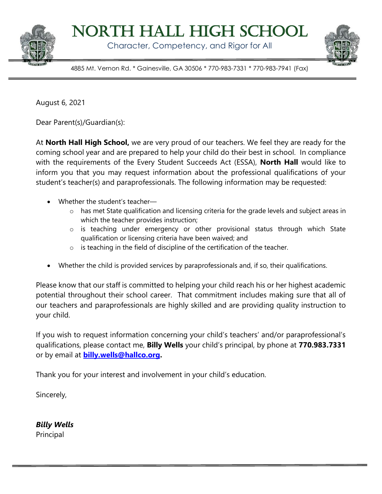

North Hall High School

Character, Competency, and Rigor for All



4885 Mt. Vernon Rd. \* Gainesville, GA 30506 \* 770-983-7331 \* 770-983-7941 (Fax)

August 6, 2021

Dear Parent(s)/Guardian(s):

At **North Hall High School,** we are very proud of our teachers. We feel they are ready for the coming school year and are prepared to help your child do their best in school. In compliance with the requirements of the Every Student Succeeds Act (ESSA), **North Hall** would like to inform you that you may request information about the professional qualifications of your student's teacher(s) and paraprofessionals. The following information may be requested:

- Whether the student's teacher
	- o has met State qualification and licensing criteria for the grade levels and subject areas in which the teacher provides instruction;
	- o is teaching under emergency or other provisional status through which State qualification or licensing criteria have been waived; and
	- $\circ$  is teaching in the field of discipline of the certification of the teacher.
- Whether the child is provided services by paraprofessionals and, if so, their qualifications.

Please know that our staff is committed to helping your child reach his or her highest academic potential throughout their school career. That commitment includes making sure that all of our teachers and paraprofessionals are highly skilled and are providing quality instruction to your child.

If you wish to request information concerning your child's teachers' and/or paraprofessional's qualifications, please contact me, **Billy Wells** your child's principal, by phone at **770.983.7331** or by email at **[billy.wells@hallco.org.](mailto:billy.wells@hallco.org)**

Thank you for your interest and involvement in your child's education.

Sincerely,

*Billy Wells* Principal